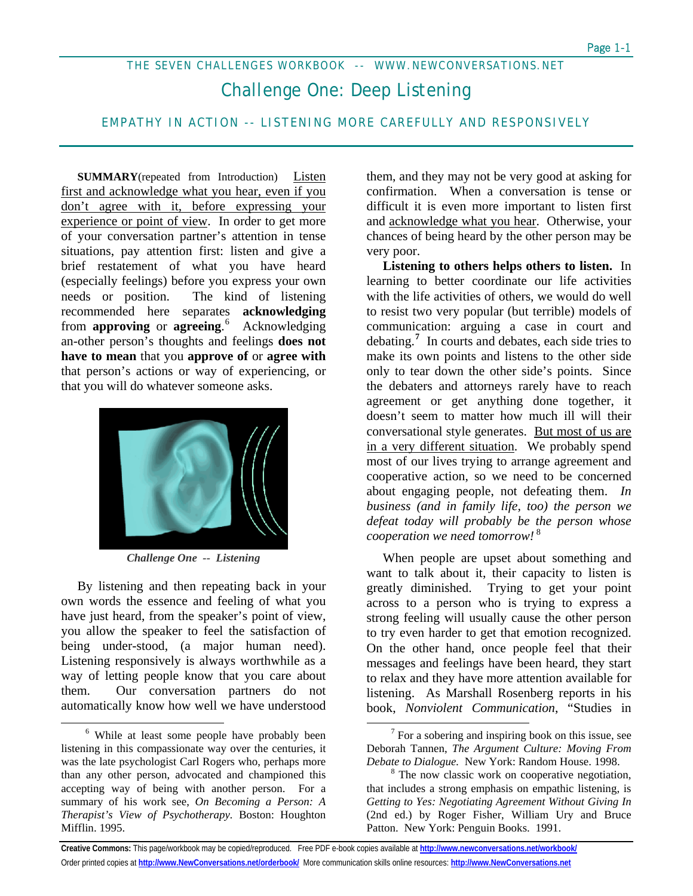# THE SEVEN CHALLENGES WORKBOOK -- WWW.NEWCONVERSATIONS.NET *Challenge One: Deep Listening*

EMPATHY IN ACTION -- LISTENING MORE CAREFULLY AND RESPONSIVELY

 **SUMMARY**(repeated from Introduction) Listen first and acknowledge what you hear, even if you don't agree with it, before expressing your experience or point of view. In order to get more of your conversation partner's attention in tense situations, pay attention first: listen and give a brief restatement of what you have heard (especially feelings) before you express your own needs or position. The kind of listening recommended here separates **acknowledging** from **approving** or **agreeing**. [6](#page-0-0) Acknowledging an-other person's thoughts and feelings **does not have to mean** that you **approve of** or **agree with** that person's actions or way of experiencing, or that you will do whatever someone asks.



*Challenge One -- Listening* 

 By listening and then repeating back in your own words the essence and feeling of what you have just heard, from the speaker's point of view, you allow the speaker to feel the satisfaction of being under-stood, (a major human need). Listening responsively is always worthwhile as a way of letting people know that you care about them. Our conversation partners do not automatically know how well we have understood

 $\overline{\phantom{a}}$ 

them, and they may not be very good at asking for confirmation. When a conversation is tense or difficult it is even more important to listen first and acknowledge what you hear. Otherwise, your chances of being heard by the other person may be very poor.

 **Listening to others helps others to listen.** In learning to better coordinate our life activities with the life activities of others, we would do well to resist two very popular (but terrible) models of communication: arguing a case in court and debating.**[7](#page-0-0)** In courts and debates, each side tries to make its own points and listens to the other side only to tear down the other side's points. Since the debaters and attorneys rarely have to reach agreement or get anything done together, it doesn't seem to matter how much ill will their conversational style generates. But most of us are in a very different situation. We probably spend most of our lives trying to arrange agreement and cooperative action, so we need to be concerned about engaging people, not defeating them. *In business (and in family life, too) the person we defeat today will probably be the person whose cooperation we need tomorrow!* [8](#page-0-1)

 When people are upset about something and want to talk about it, their capacity to listen is greatly diminished. Trying to get your point across to a person who is trying to express a strong feeling will usually cause the other person to try even harder to get that emotion recognized. On the other hand, once people feel that their messages and feelings have been heard, they start to relax and they have more attention available for listening. As Marshall Rosenberg reports in his book, *Nonviolent Communication*, "Studies in

<span id="page-0-1"></span><span id="page-0-0"></span> <sup>6</sup> While at least some people have probably been listening in this compassionate way over the centuries, it was the late psychologist Carl Rogers who, perhaps more than any other person, advocated and championed this accepting way of being with another person. For a summary of his work see, *On Becoming a Person: A Therapist's View of Psychotherapy.* Boston: Houghton Mifflin. 1995.

 $7$  For a sobering and inspiring book on this issue, see Deborah Tannen, *The Argument Culture: Moving From Debate to Dialogue.* New York: Random House. 1998.

<sup>&</sup>lt;sup>8</sup> The now classic work on cooperative negotiation, that includes a strong emphasis on empathic listening, is *Getting to Yes: Negotiating Agreement Without Giving In* (2nd ed.) by Roger Fisher, William Ury and Bruce Patton. New York: Penguin Books. 1991.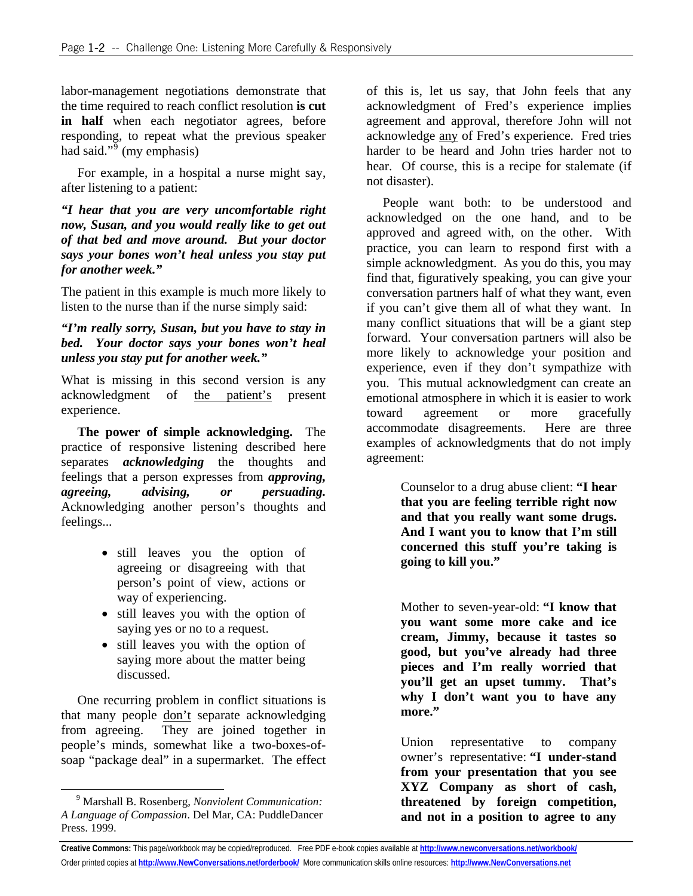labor-management negotiations demonstrate that the time required to reach conflict resolution **is cut**  in half when each negotiator agrees, before responding, to repeat what the previous speaker had said."<sup>[9](#page-1-0)</sup> (my emphasis)

 For example, in a hospital a nurse might say, after listening to a patient:

*"I hear that you are very uncomfortable right now, Susan, and you would really like to get out of that bed and move around. But your doctor says your bones won't heal unless you stay put for another week."*

The patient in this example is much more likely to listen to the nurse than if the nurse simply said:

# *"I'm really sorry, Susan, but you have to stay in bed. Your doctor says your bones won't heal unless you stay put for another week."*

What is missing in this second version is any acknowledgment of the patient's present experience.

 **The power of simple acknowledging.** The practice of responsive listening described here separates *acknowledging* the thoughts and feelings that a person expresses from *approving, agreeing, advising, or persuading.*  Acknowledging another person's thoughts and feelings...

- still leaves you the option of agreeing or disagreeing with that person's point of view, actions or way of experiencing.
- still leaves you with the option of saying yes or no to a request.
- still leaves you with the option of saying more about the matter being discussed.

 One recurring problem in conflict situations is that many people don't separate acknowledging from agreeing. They are joined together in people's minds, somewhat like a two-boxes-ofsoap "package deal" in a supermarket. The effect

of this is, let us say, that John feels that any acknowledgment of Fred's experience implies agreement and approval, therefore John will not acknowledge any of Fred's experience. Fred tries harder to be heard and John tries harder not to hear. Of course, this is a recipe for stalemate (if not disaster).

 People want both: to be understood and acknowledged on the one hand, and to be approved and agreed with, on the other. With practice, you can learn to respond first with a simple acknowledgment. As you do this, you may find that, figuratively speaking, you can give your conversation partners half of what they want, even if you can't give them all of what they want. In many conflict situations that will be a giant step forward. Your conversation partners will also be more likely to acknowledge your position and experience, even if they don't sympathize with you. This mutual acknowledgment can create an emotional atmosphere in which it is easier to work toward agreement or more gracefully accommodate disagreements. Here are three examples of acknowledgments that do not imply agreement:

> Counselor to a drug abuse client: **"I hear that you are feeling terrible right now and that you really want some drugs. And I want you to know that I'm still concerned this stuff you're taking is going to kill you."**

> Mother to seven-year-old: **"I know that you want some more cake and ice cream, Jimmy, because it tastes so good, but you've already had three pieces and I'm really worried that you'll get an upset tummy. That's why I don't want you to have any more."**

> Union representative to company owner's representative: **"I under-stand from your presentation that you see XYZ Company as short of cash, threatened by foreign competition, and not in a position to agree to any**

<span id="page-1-0"></span> $\overline{\phantom{0}}$ 9 Marshall B. Rosenberg, *Nonviolent Communication: A Language of Compassion*. Del Mar, CA: PuddleDancer Press. 1999.

**Creative Commons:** This page/workbook may be copied/reproduced. Free PDF e-book copies available at **http://www.newconversations.net/workbook/** Order printed copies at **http://www.NewConversations.net/orderbook/** More communication skills online resources: **http://www.NewConversations.net**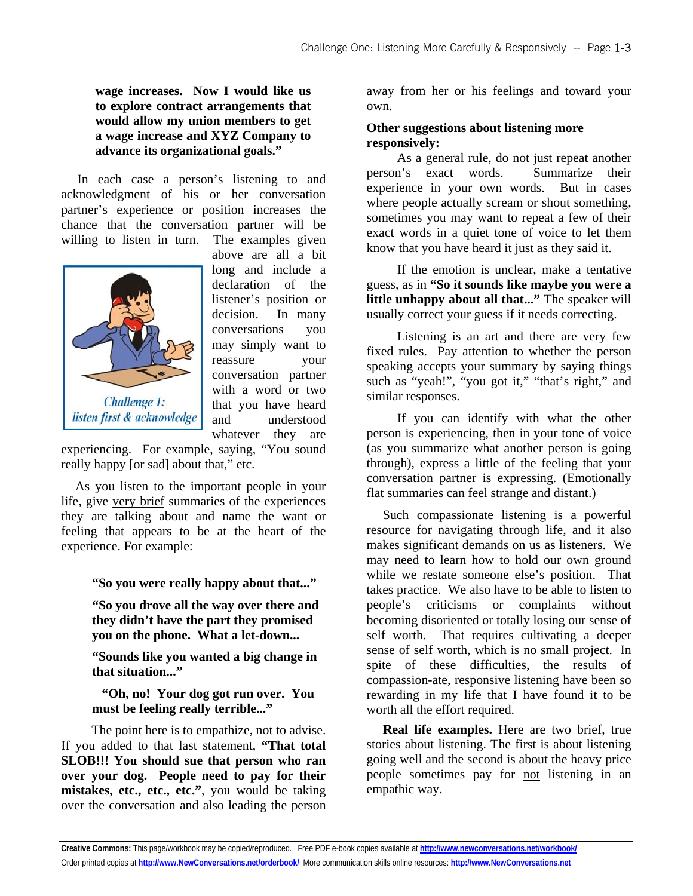**wage increases. Now I would like us to explore contract arrangements that would allow my union members to get a wage increase and XYZ Company to advance its organizational goals."**

 In each case a person's listening to and acknowledgment of his or her conversation partner's experience or position increases the chance that the conversation partner will be willing to listen in turn. The examples given



above are all a bit long and include a declaration of the listener's position or decision. In many conversations you may simply want to reassure your conversation partner with a word or two that you have heard and understood whatever they are

experiencing. For example, saying, "You sound really happy [or sad] about that," etc.

 As you listen to the important people in your life, give very brief summaries of the experiences they are talking about and name the want or feeling that appears to be at the heart of the experience. For example:

**"So you were really happy about that..."** 

**"So you drove all the way over there and they didn't have the part they promised you on the phone. What a let-down...** 

**"Sounds like you wanted a big change in that situation..."** 

 **"Oh, no! Your dog got run over. You must be feeling really terrible..."** 

The point here is to empathize, not to advise. If you added to that last statement, **"That total SLOB!!! You should sue that person who ran over your dog. People need to pay for their mistakes, etc., etc., etc."**, you would be taking over the conversation and also leading the person away from her or his feelings and toward your own.

## **Other suggestions about listening more responsively:**

 As a general rule, do not just repeat another person's exact words. Summarize their experience in your own words. But in cases where people actually scream or shout something, sometimes you may want to repeat a few of their exact words in a quiet tone of voice to let them know that you have heard it just as they said it.

 If the emotion is unclear, make a tentative guess, as in **"So it sounds like maybe you were a little unhappy about all that..."** The speaker will usually correct your guess if it needs correcting.

 Listening is an art and there are very few fixed rules. Pay attention to whether the person speaking accepts your summary by saying things such as "yeah!", "you got it," "that's right," and similar responses.

 If you can identify with what the other person is experiencing, then in your tone of voice (as you summarize what another person is going through), express a little of the feeling that your conversation partner is expressing. (Emotionally flat summaries can feel strange and distant.)

 Such compassionate listening is a powerful resource for navigating through life, and it also makes significant demands on us as listeners. We may need to learn how to hold our own ground while we restate someone else's position. That takes practice. We also have to be able to listen to people's criticisms or complaints without becoming disoriented or totally losing our sense of self worth. That requires cultivating a deeper sense of self worth, which is no small project. In spite of these difficulties, the results of compassion-ate, responsive listening have been so rewarding in my life that I have found it to be worth all the effort required.

 **Real life examples.** Here are two brief, true stories about listening. The first is about listening going well and the second is about the heavy price people sometimes pay for not listening in an empathic way.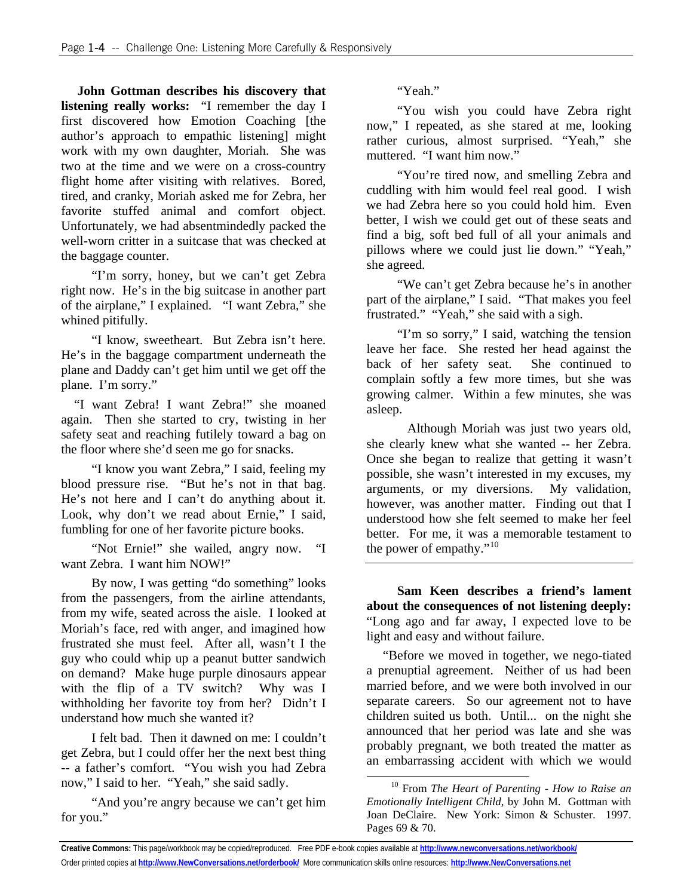**John Gottman describes his discovery that listening really works:** "I remember the day I first discovered how Emotion Coaching [the author's approach to empathic listening] might work with my own daughter, Moriah. She was two at the time and we were on a cross-country flight home after visiting with relatives. Bored, tired, and cranky, Moriah asked me for Zebra, her favorite stuffed animal and comfort object. Unfortunately, we had absentmindedly packed the well-worn critter in a suitcase that was checked at the baggage counter.

 "I'm sorry, honey, but we can't get Zebra right now. He's in the big suitcase in another part of the airplane," I explained. "I want Zebra," she whined pitifully.

 "I know, sweetheart. But Zebra isn't here. He's in the baggage compartment underneath the plane and Daddy can't get him until we get off the plane. I'm sorry."

 "I want Zebra! I want Zebra!" she moaned again. Then she started to cry, twisting in her safety seat and reaching futilely toward a bag on the floor where she'd seen me go for snacks.

 "I know you want Zebra," I said, feeling my blood pressure rise. "But he's not in that bag. He's not here and I can't do anything about it. Look, why don't we read about Ernie," I said, fumbling for one of her favorite picture books.

 "Not Ernie!" she wailed, angry now. "I want Zebra. I want him NOW!"

 By now, I was getting "do something" looks from the passengers, from the airline attendants, from my wife, seated across the aisle. I looked at Moriah's face, red with anger, and imagined how frustrated she must feel. After all, wasn't I the guy who could whip up a peanut butter sandwich on demand? Make huge purple dinosaurs appear with the flip of a TV switch? Why was I withholding her favorite toy from her? Didn't I understand how much she wanted it?

 I felt bad. Then it dawned on me: I couldn't get Zebra, but I could offer her the next best thing -- a father's comfort. "You wish you had Zebra now," I said to her. "Yeah," she said sadly.

<span id="page-3-0"></span> "And you're angry because we can't get him for you."

"Yeah."

 "You wish you could have Zebra right now," I repeated, as she stared at me, looking rather curious, almost surprised. "Yeah," she muttered. "I want him now."

 "You're tired now, and smelling Zebra and cuddling with him would feel real good. I wish we had Zebra here so you could hold him. Even better, I wish we could get out of these seats and find a big, soft bed full of all your animals and pillows where we could just lie down." "Yeah," she agreed.

 "We can't get Zebra because he's in another part of the airplane," I said. "That makes you feel frustrated." "Yeah," she said with a sigh.

 "I'm so sorry," I said, watching the tension leave her face. She rested her head against the back of her safety seat. She continued to complain softly a few more times, but she was growing calmer. Within a few minutes, she was asleep.

 Although Moriah was just two years old, she clearly knew what she wanted -- her Zebra. Once she began to realize that getting it wasn't possible, she wasn't interested in my excuses, my arguments, or my diversions. My validation, however, was another matter. Finding out that I understood how she felt seemed to make her feel better. For me, it was a memorable testament to the power of empathy."<sup>[10](#page-3-0)</sup>

**Sam Keen describes a friend's lament about the consequences of not listening deeply:**  "Long ago and far away, I expected love to be light and easy and without failure.

 "Before we moved in together, we nego-tiated a prenuptial agreement. Neither of us had been married before, and we were both involved in our separate careers. So our agreement not to have children suited us both. Until... on the night she announced that her period was late and she was probably pregnant, we both treated the matter as an embarrassing accident with which we would

 <sup>10</sup> From *The Heart of Parenting - How to Raise an Emotionally Intelligent Child*, by John M. Gottman with Joan DeClaire. New York: Simon & Schuster. 1997. Pages 69 & 70.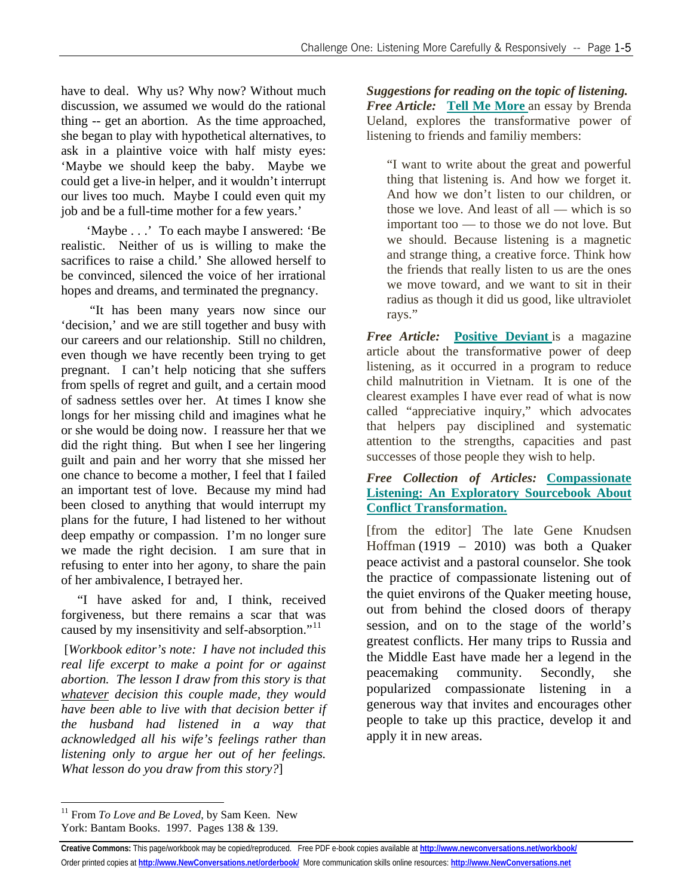have to deal. Why us? Why now? Without much discussion, we assumed we would do the rational thing -- get an abortion. As the time approached, she began to play with hypothetical alternatives, to ask in a plaintive voice with half misty eyes: 'Maybe we should keep the baby. Maybe we could get a live-in helper, and it wouldn't interrupt our lives too much. Maybe I could even quit my job and be a full-time mother for a few years.'

'Maybe . . .' To each maybe I answered: 'Be realistic. Neither of us is willing to make the sacrifices to raise a child.' She allowed herself to be convinced, silenced the voice of her irrational hopes and dreams, and terminated the pregnancy.

 "It has been many years now since our 'decision,' and we are still together and busy with our careers and our relationship. Still no children, even though we have recently been trying to get pregnant. I can't help noticing that she suffers from spells of regret and guilt, and a certain mood of sadness settles over her. At times I know she longs for her missing child and imagines what he or she would be doing now. I reassure her that we did the right thing. But when I see her lingering guilt and pain and her worry that she missed her one chance to become a mother, I feel that I failed an important test of love. Because my mind had been closed to anything that would interrupt my plans for the future, I had listened to her without deep empathy or compassion. I'm no longer sure we made the right decision. I am sure that in refusing to enter into her agony, to share the pain of her ambivalence, I betrayed her.

 "I have asked for and, I think, received forgiveness, but there remains a scar that was caused by my insensitivity and self-absorption."<sup>[11](#page-4-0)</sup>

 [*Workbook editor's note: I have not included this real life excerpt to make a point for or against abortion. The lesson I draw from this story is that whatever decision this couple made, they would have been able to live with that decision better if the husband had listened in a way that acknowledged all his wife's feelings rather than listening only to argue her out of her feelings. What lesson do you draw from this story?*]

*Suggestions for reading on the topic of listening. Free Article:* **[Tell Me More](http://newconversations.net/newconversations/library/Tell_Me_More.pdf)** an essay by Brenda Ueland, explores the transformative power of listening to friends and familiy members:

"I want to write about the great and powerful thing that listening is. And how we forget it. And how we don't listen to our children, or those we love. And least of all — which is so important too — to those we do not love. But we should. Because listening is a magnetic and strange thing, a creative force. Think how the friends that really listen to us are the ones we move toward, and we want to sit in their radius as though it did us good, like ultraviolet rays."

*Free Article:* **[Positive Deviant](http://pf.fastcompany.com/magazine/41/sternin.html)** is a magazine article about the transformative power of deep listening, as it occurred in a program to reduce child malnutrition in Vietnam. It is one of the clearest examples I have ever read of what is now called "appreciative inquiry," which advocates that helpers pay disciplined and systematic attention to the strengths, capacities and past successes of those people they wish to help.

# *Free Collection of Articles:* **[Compassionate](http://newconversations.net/pdf/compassionate_listening.pdf)  [Listening: An Exploratory Sourcebook About](http://newconversations.net/pdf/compassionate_listening.pdf)  [Conflict Transformation.](http://newconversations.net/pdf/compassionate_listening.pdf)**

[from the editor] The late Gene Knudsen Hoffman (1919 – 2010) was both a Quaker peace activist and a pastoral counselor. She took the practice of compassionate listening out of the quiet environs of the Quaker meeting house, out from behind the closed doors of therapy session, and on to the stage of the world's greatest conflicts. Her many trips to Russia and the Middle East have made her a legend in the peacemaking community. Secondly, she popularized compassionate listening in a generous way that invites and encourages other people to take up this practice, develop it and apply it in new areas.

 $\overline{\phantom{a}}$ 

<span id="page-4-0"></span><sup>&</sup>lt;sup>11</sup> From *To Love and Be Loved*, by Sam Keen. New York: Bantam Books. 1997. Pages 138 & 139.

**Creative Commons:** This page/workbook may be copied/reproduced. Free PDF e-book copies available at **http://www.newconversations.net/workbook/** Order printed copies at **http://www.NewConversations.net/orderbook/** More communication skills online resources: **http://www.NewConversations.net**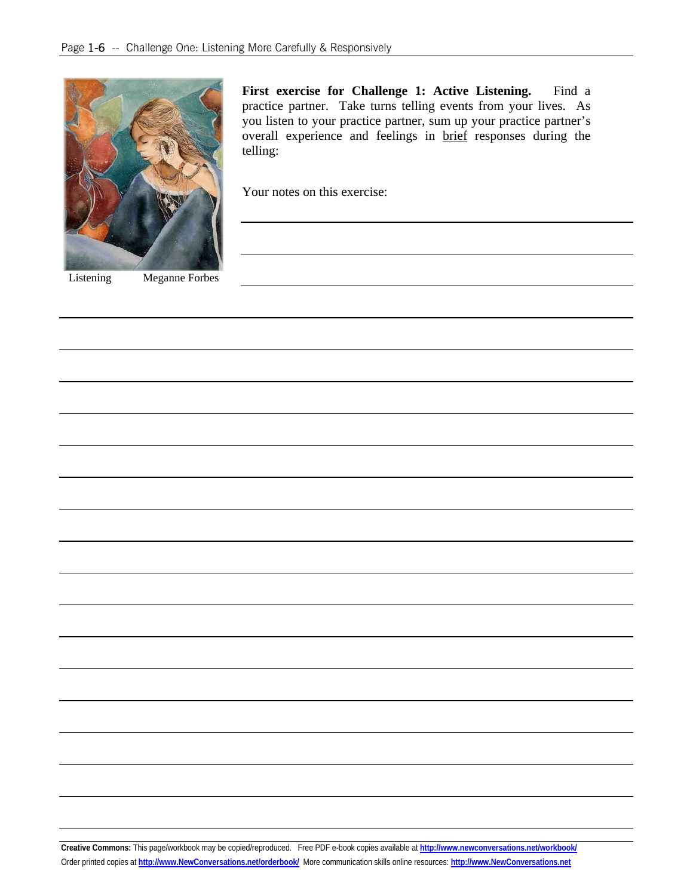

**First exercise for Challenge 1: Active Listening.** Find a practice partner. Take turns telling events from your lives. As you listen to your practice partner, sum up your practice partner's overall experience and feelings in brief responses during the telling:

Your notes on this exercise:

Listening Meganne Forbes

**Creative Commons:** This page/workbook may be copied/reproduced. Free PDF e-book copies available at **http://www.newconversations.net/workbook/** Order printed copies at **http://www.NewConversations.net/orderbook/** More communication skills online resources: **http://www.NewConversations.net**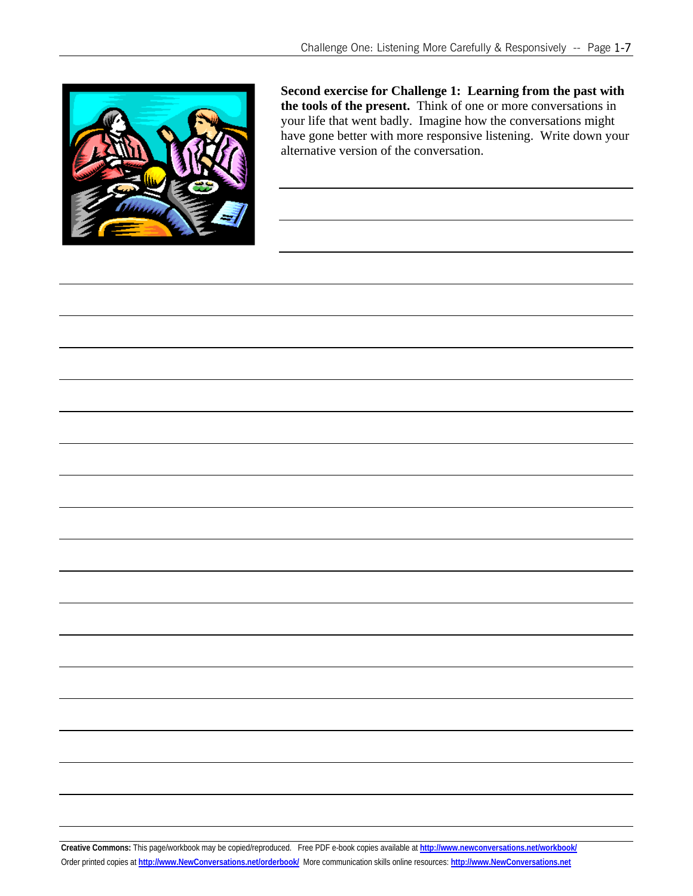

**Second exercise for Challenge 1: Learning from the past with the tools of the present.** Think of one or more conversations in your life that went badly. Imagine how the conversations might have gone better with more responsive listening. Write down your alternative version of the conversation.

**Creative Commons:** This page/workbook may be copied/reproduced. Free PDF e-book copies available at **http://www.newconversations.net/workbook/** Order printed copies at **http://www.NewConversations.net/orderbook/** More communication skills online resources: **http://www.NewConversations.net**